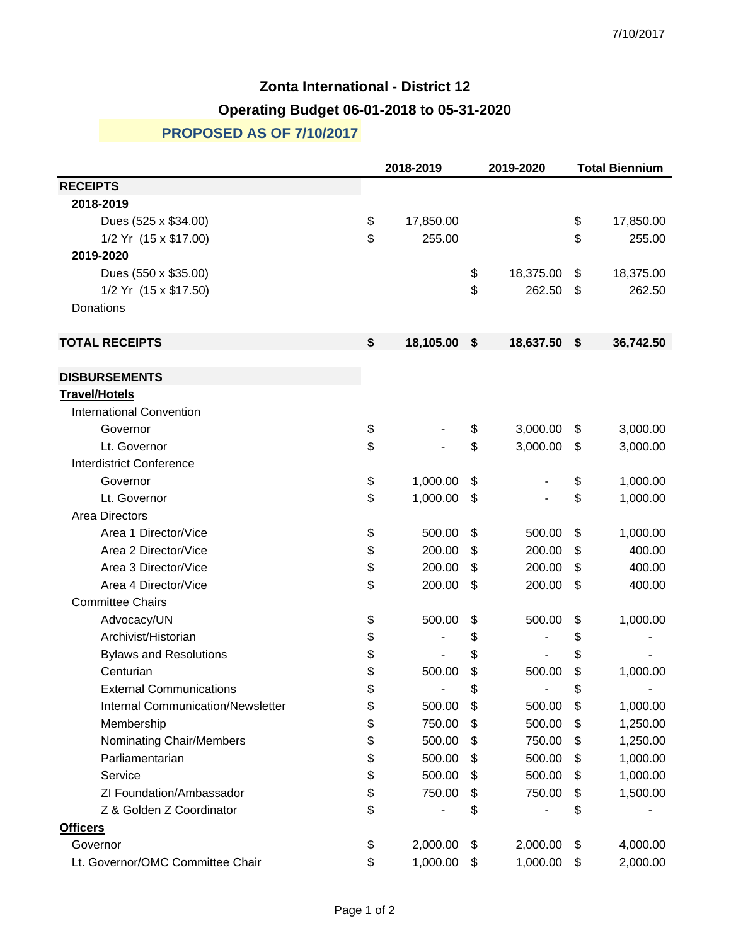## **Zonta International - District 12 Operating Budget 06-01-2018 to 05-31-2020**

## **PROPOSED AS OF 7/10/2017**

|                                          |    | 2018-2019 |    | 2019-2020 |    | <b>Total Biennium</b> |  |
|------------------------------------------|----|-----------|----|-----------|----|-----------------------|--|
| <b>RECEIPTS</b>                          |    |           |    |           |    |                       |  |
| 2018-2019                                |    |           |    |           |    |                       |  |
| Dues (525 x \$34.00)                     | \$ | 17,850.00 |    |           | \$ | 17,850.00             |  |
| 1/2 Yr (15 x \$17.00)                    | \$ | 255.00    |    |           | \$ | 255.00                |  |
| 2019-2020                                |    |           |    |           |    |                       |  |
| Dues (550 x \$35.00)                     |    |           | \$ | 18,375.00 | \$ | 18,375.00             |  |
| 1/2 Yr (15 x \$17.50)                    |    |           | \$ | 262.50    | \$ | 262.50                |  |
| Donations                                |    |           |    |           |    |                       |  |
| <b>TOTAL RECEIPTS</b>                    | \$ | 18,105.00 | \$ | 18,637.50 | \$ | 36,742.50             |  |
| <b>DISBURSEMENTS</b>                     |    |           |    |           |    |                       |  |
| <b>Travel/Hotels</b>                     |    |           |    |           |    |                       |  |
| <b>International Convention</b>          |    |           |    |           |    |                       |  |
| Governor                                 | \$ |           | \$ | 3,000.00  | \$ | 3,000.00              |  |
| Lt. Governor                             | \$ |           | \$ | 3,000.00  | \$ | 3,000.00              |  |
| <b>Interdistrict Conference</b>          |    |           |    |           |    |                       |  |
| Governor                                 | \$ | 1,000.00  | \$ |           | \$ | 1,000.00              |  |
| Lt. Governor                             | \$ | 1,000.00  | \$ |           | \$ | 1,000.00              |  |
| Area Directors                           |    |           |    |           |    |                       |  |
| Area 1 Director/Vice                     | \$ | 500.00    | \$ | 500.00    | \$ | 1,000.00              |  |
| Area 2 Director/Vice                     | \$ | 200.00    | \$ | 200.00    | \$ | 400.00                |  |
| Area 3 Director/Vice                     | \$ | 200.00    | \$ | 200.00    | \$ | 400.00                |  |
| Area 4 Director/Vice                     | \$ | 200.00    | \$ | 200.00    | \$ | 400.00                |  |
| <b>Committee Chairs</b>                  |    |           |    |           |    |                       |  |
| Advocacy/UN                              | \$ | 500.00    | \$ | 500.00    | \$ | 1,000.00              |  |
| Archivist/Historian                      | \$ |           | \$ |           | \$ |                       |  |
| <b>Bylaws and Resolutions</b>            | \$ |           | \$ |           | \$ |                       |  |
| Centurian                                | \$ | 500.00    | \$ | 500.00    | \$ | 1,000.00              |  |
| <b>External Communications</b>           | \$ |           | \$ |           | \$ |                       |  |
| <b>Internal Communication/Newsletter</b> | \$ | 500.00    | \$ | 500.00    | \$ | 1,000.00              |  |
| Membership                               | \$ | 750.00    | \$ | 500.00    | \$ | 1,250.00              |  |
| Nominating Chair/Members                 | \$ | 500.00    | \$ | 750.00    | \$ | 1,250.00              |  |
| Parliamentarian                          | \$ | 500.00    | \$ | 500.00    | \$ | 1,000.00              |  |
| Service                                  | \$ | 500.00    | \$ | 500.00    | \$ | 1,000.00              |  |
| ZI Foundation/Ambassador                 | \$ | 750.00    | \$ | 750.00    | \$ | 1,500.00              |  |
| Z & Golden Z Coordinator                 | \$ |           | \$ |           | \$ |                       |  |
| <b>Officers</b>                          |    |           |    |           |    |                       |  |
| Governor                                 | \$ | 2,000.00  | \$ | 2,000.00  | \$ | 4,000.00              |  |
| Lt. Governor/OMC Committee Chair         | \$ | 1,000.00  | \$ | 1,000.00  | \$ | 2,000.00              |  |